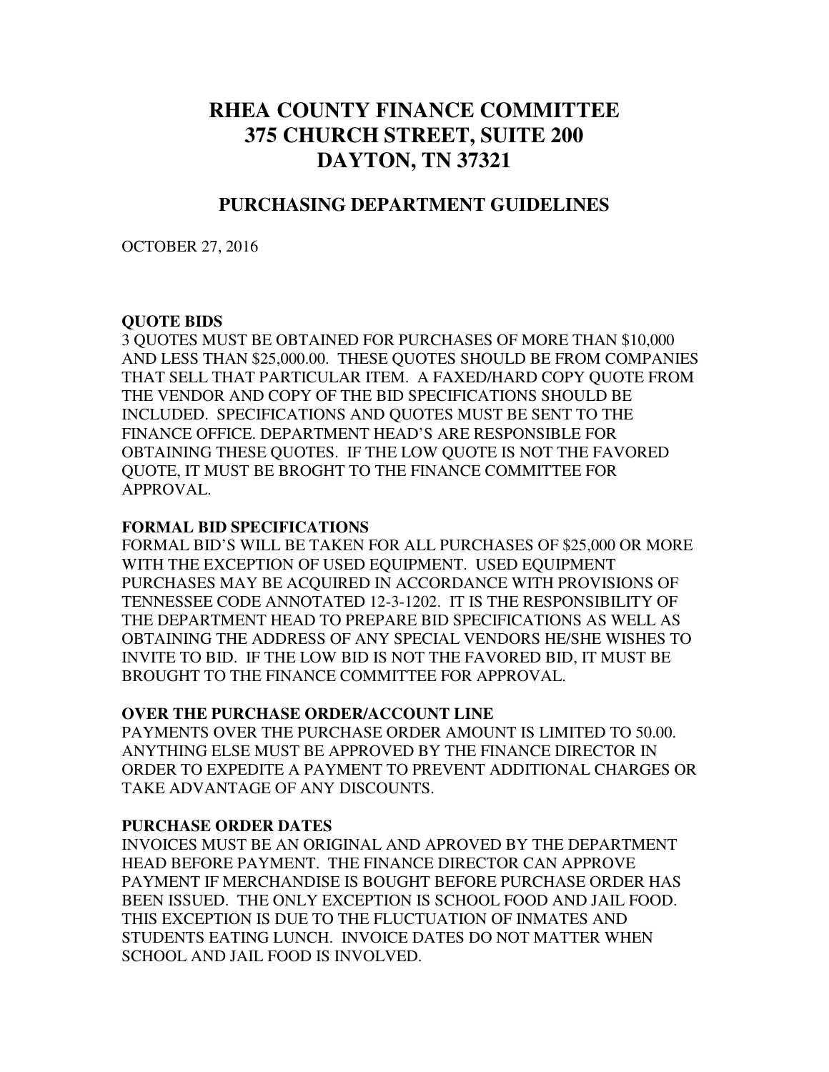# **RHEA COUNTY FINANCE COMMITTEE 375 CHURCH STREET, SUITE 200 DAYTON, TN 37321**

## **PURCHASING DEPARTMENT GUIDELINES**

OCTOBER 27, 2016

## **QUOTE BIDS**

3 QUOTES MUST BE OBTAINED FOR PURCHASES OF MORE THAN \$10,000 AND LESS THAN \$25,000.00. THESE QUOTES SHOULD BE FROM COMPANIES THAT SELL THAT PARTICULAR ITEM. A FAXED/HARD COPY QUOTE FROM THE VENDOR AND COPY OF THE BID SPECIFICATIONS SHOULD BE INCLUDED. SPECIFICATIONS AND QUOTES MUST BE SENT TO THE FINANCE OFFICE. DEPARTMENT HEAD'S ARE RESPONSIBLE FOR OBTAINING THESE QUOTES. IF THE LOW QUOTE IS NOT THE FAVORED QUOTE, IT MUST BE BROGHT TO THE FINANCE COMMITTEE FOR APPROVAL.

#### **FORMAL BID SPECIFICATIONS**

FORMAL BID'S WILL BE TAKEN FOR ALL PURCHASES OF \$25,000 OR MORE WITH THE EXCEPTION OF USED EQUIPMENT. USED EQUIPMENT PURCHASES MAY BE ACQUIRED IN ACCORDANCE WITH PROVISIONS OF TENNESSEE CODE ANNOTATED 12-3-1202. IT IS THE RESPONSIBILITY OF THE DEPARTMENT HEAD TO PREPARE BID SPECIFICATIONS AS WELL AS OBTAINING THE ADDRESS OF ANY SPECIAL VENDORS HE/SHE WISHES TO INVITE TO BID.IF THE LOW BID IS NOT THE FAVORED BID, IT MUST BE BROUGHT TO THE FINANCE COMMITTEE FOR APPROVAL.

#### **OVER THE PURCHASE ORDER/ACCOUNT LINE**

PAYMENTS OVER THE PURCHASE ORDER AMOUNT IS LIMITED TO 50.00. ANYTHING ELSE MUST BE APPROVED BY THE FINANCE DIRECTOR IN ORDER TO EXPEDITE A PAYMENT TO PREVENT ADDITIONAL CHARGES OR TAKE ADVANTAGE OF ANY DISCOUNTS.

## **PURCHASE ORDER DATES**

INVOICES MUST BE AN ORIGINAL AND APROVED BY THE DEPARTMENT HEAD BEFORE PAYMENT. THE FINANCE DIRECTOR CAN APPROVE PAYMENT IF MERCHANDISE IS BOUGHT BEFORE PURCHASE ORDER HAS BEEN ISSUED. THE ONLY EXCEPTION IS SCHOOL FOOD AND JAIL FOOD. THIS EXCEPTION IS DUE TO THE FLUCTUATION OF INMATES AND STUDENTS EATING LUNCH. INVOICE DATES DO NOT MATTER WHEN SCHOOL AND JAIL FOOD IS INVOLVED.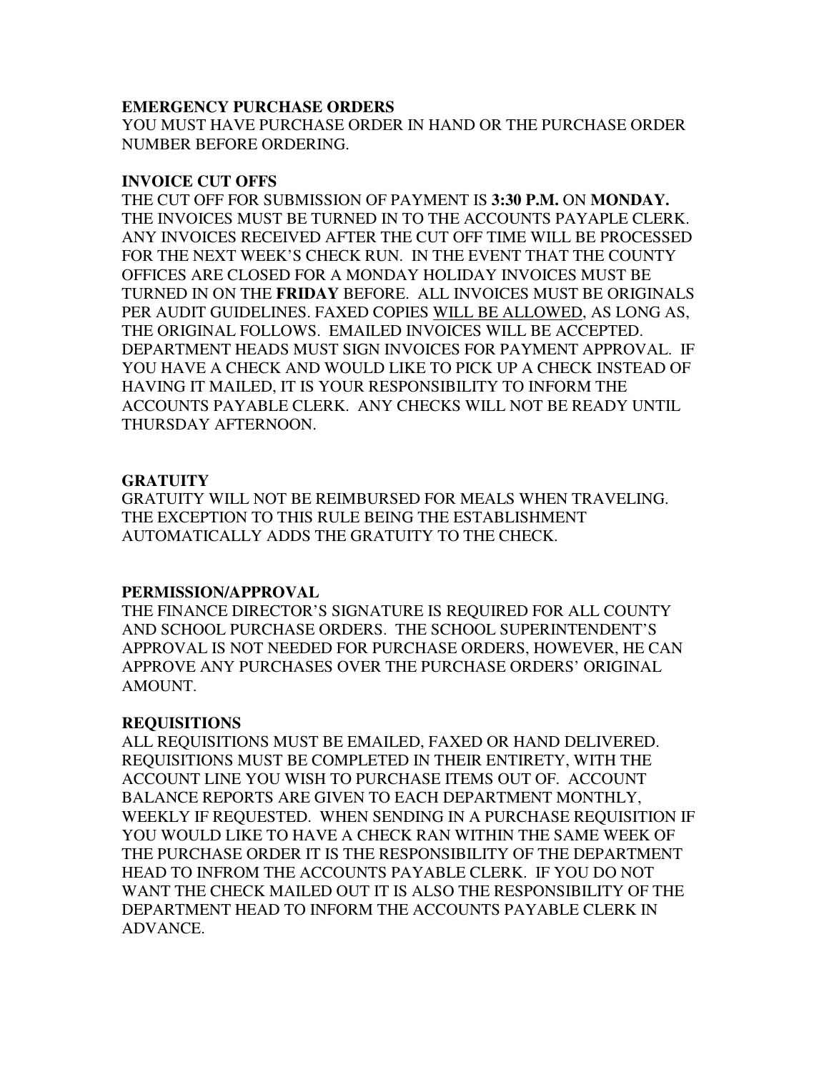#### **EMERGENCY PURCHASE ORDERS**

YOU MUST HAVE PURCHASE ORDER IN HAND OR THE PURCHASE ORDER NUMBER BEFORE ORDERING.

#### **INVOICE CUT OFFS**

THE CUT OFF FOR SUBMISSION OF PAYMENT IS **3:30 P.M.** ON **MONDAY.**  THE INVOICES MUST BE TURNED IN TO THE ACCOUNTS PAYAPLE CLERK. ANY INVOICES RECEIVED AFTER THE CUT OFF TIME WILL BE PROCESSED FOR THE NEXT WEEK'S CHECK RUN. IN THE EVENT THAT THE COUNTY OFFICES ARE CLOSED FOR A MONDAY HOLIDAY INVOICES MUST BE TURNED IN ON THE **FRIDAY** BEFORE. ALL INVOICES MUST BE ORIGINALS PER AUDIT GUIDELINES. FAXED COPIES WILL BE ALLOWED, AS LONG AS, THE ORIGINAL FOLLOWS. EMAILED INVOICES WILL BE ACCEPTED. DEPARTMENT HEADS MUST SIGN INVOICES FOR PAYMENT APPROVAL. IF YOU HAVE A CHECK AND WOULD LIKE TO PICK UP A CHECK INSTEAD OF HAVING IT MAILED, IT IS YOUR RESPONSIBILITY TO INFORM THE ACCOUNTS PAYABLE CLERK. ANY CHECKS WILL NOT BE READY UNTIL THURSDAY AFTERNOON.

## **GRATUITY**

GRATUITY WILL NOT BE REIMBURSED FOR MEALS WHEN TRAVELING. THE EXCEPTION TO THIS RULE BEING THE ESTABLISHMENT AUTOMATICALLY ADDS THE GRATUITY TO THE CHECK.

## **PERMISSION/APPROVAL**

THE FINANCE DIRECTOR'S SIGNATURE IS REQUIRED FOR ALL COUNTY AND SCHOOL PURCHASE ORDERS. THE SCHOOL SUPERINTENDENT'S APPROVAL IS NOT NEEDED FOR PURCHASE ORDERS, HOWEVER, HE CAN APPROVE ANY PURCHASES OVER THE PURCHASE ORDERS' ORIGINAL AMOUNT.

## **REQUISITIONS**

ALL REQUISITIONS MUST BE EMAILED, FAXED OR HAND DELIVERED. REQUISITIONS MUST BE COMPLETED IN THEIR ENTIRETY, WITH THE ACCOUNT LINE YOU WISH TO PURCHASE ITEMS OUT OF. ACCOUNT BALANCE REPORTS ARE GIVEN TO EACH DEPARTMENT MONTHLY, WEEKLY IF REQUESTED. WHEN SENDING IN A PURCHASE REQUISITION IF YOU WOULD LIKE TO HAVE A CHECK RAN WITHIN THE SAME WEEK OF THE PURCHASE ORDER IT IS THE RESPONSIBILITY OF THE DEPARTMENT HEAD TO INFROM THE ACCOUNTS PAYABLE CLERK. IF YOU DO NOT WANT THE CHECK MAILED OUT IT IS ALSO THE RESPONSIBILITY OF THE DEPARTMENT HEAD TO INFORM THE ACCOUNTS PAYABLE CLERK IN ADVANCE.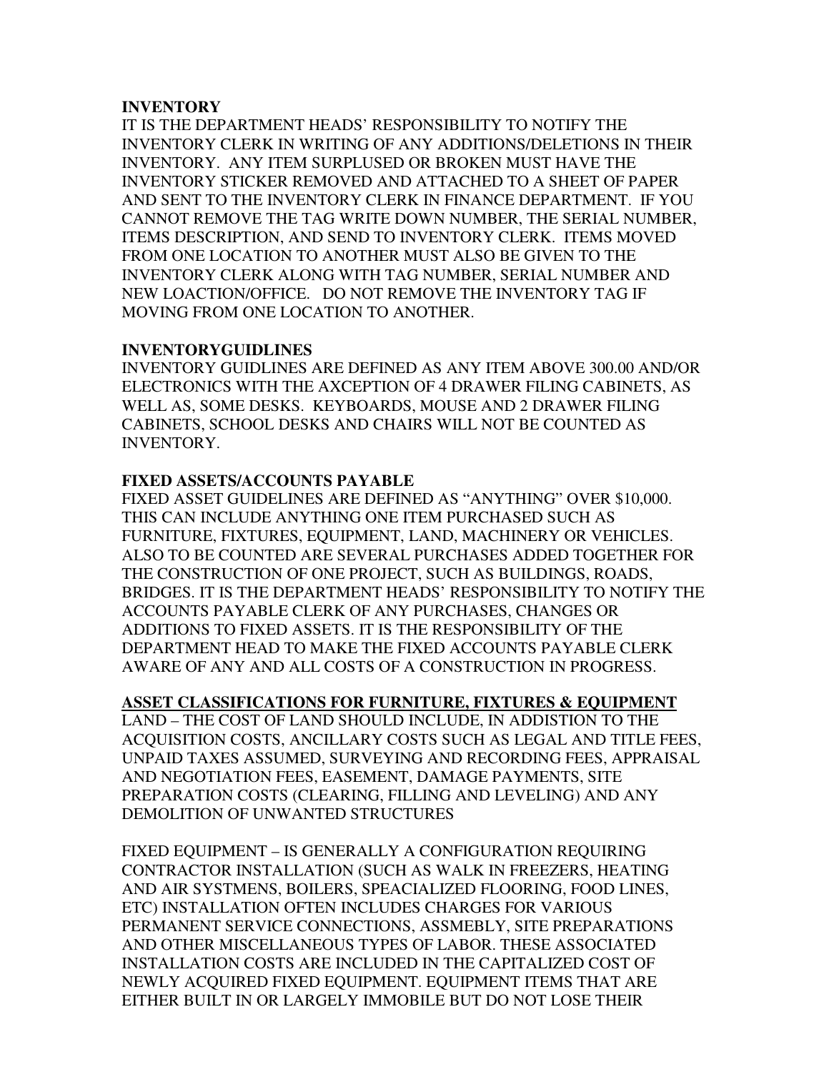#### **INVENTORY**

IT IS THE DEPARTMENT HEADS' RESPONSIBILITY TO NOTIFY THE INVENTORY CLERK IN WRITING OF ANY ADDITIONS/DELETIONS IN THEIR INVENTORY. ANY ITEM SURPLUSED OR BROKEN MUST HAVE THE INVENTORY STICKER REMOVED AND ATTACHED TO A SHEET OF PAPER AND SENT TO THE INVENTORY CLERK IN FINANCE DEPARTMENT. IF YOU CANNOT REMOVE THE TAG WRITE DOWN NUMBER, THE SERIAL NUMBER, ITEMS DESCRIPTION, AND SEND TO INVENTORY CLERK. ITEMS MOVED FROM ONE LOCATION TO ANOTHER MUST ALSO BE GIVEN TO THE INVENTORY CLERK ALONG WITH TAG NUMBER, SERIAL NUMBER AND NEW LOACTION/OFFICE. DO NOT REMOVE THE INVENTORY TAG IF MOVING FROM ONE LOCATION TO ANOTHER.

## **INVENTORYGUIDLINES**

INVENTORY GUIDLINES ARE DEFINED AS ANY ITEM ABOVE 300.00 AND/OR ELECTRONICS WITH THE AXCEPTION OF 4 DRAWER FILING CABINETS, AS WELL AS, SOME DESKS. KEYBOARDS, MOUSE AND 2 DRAWER FILING CABINETS, SCHOOL DESKS AND CHAIRS WILL NOT BE COUNTED AS INVENTORY.

## **FIXED ASSETS/ACCOUNTS PAYABLE**

FIXED ASSET GUIDELINES ARE DEFINED AS "ANYTHING" OVER \$10,000. THIS CAN INCLUDE ANYTHING ONE ITEM PURCHASED SUCH AS FURNITURE, FIXTURES, EQUIPMENT, LAND, MACHINERY OR VEHICLES. ALSO TO BE COUNTED ARE SEVERAL PURCHASES ADDED TOGETHER FOR THE CONSTRUCTION OF ONE PROJECT, SUCH AS BUILDINGS, ROADS, BRIDGES. IT IS THE DEPARTMENT HEADS' RESPONSIBILITY TO NOTIFY THE ACCOUNTS PAYABLE CLERK OF ANY PURCHASES, CHANGES OR ADDITIONS TO FIXED ASSETS. IT IS THE RESPONSIBILITY OF THE DEPARTMENT HEAD TO MAKE THE FIXED ACCOUNTS PAYABLE CLERK AWARE OF ANY AND ALL COSTS OF A CONSTRUCTION IN PROGRESS.

## **ASSET CLASSIFICATIONS FOR FURNITURE, FIXTURES & EQUIPMENT**

LAND – THE COST OF LAND SHOULD INCLUDE, IN ADDISTION TO THE ACQUISITION COSTS, ANCILLARY COSTS SUCH AS LEGAL AND TITLE FEES, UNPAID TAXES ASSUMED, SURVEYING AND RECORDING FEES, APPRAISAL AND NEGOTIATION FEES, EASEMENT, DAMAGE PAYMENTS, SITE PREPARATION COSTS (CLEARING, FILLING AND LEVELING) AND ANY DEMOLITION OF UNWANTED STRUCTURES

FIXED EQUIPMENT – IS GENERALLY A CONFIGURATION REQUIRING CONTRACTOR INSTALLATION (SUCH AS WALK IN FREEZERS, HEATING AND AIR SYSTMENS, BOILERS, SPEACIALIZED FLOORING, FOOD LINES, ETC) INSTALLATION OFTEN INCLUDES CHARGES FOR VARIOUS PERMANENT SERVICE CONNECTIONS, ASSMEBLY, SITE PREPARATIONS AND OTHER MISCELLANEOUS TYPES OF LABOR. THESE ASSOCIATED INSTALLATION COSTS ARE INCLUDED IN THE CAPITALIZED COST OF NEWLY ACQUIRED FIXED EQUIPMENT. EQUIPMENT ITEMS THAT ARE EITHER BUILT IN OR LARGELY IMMOBILE BUT DO NOT LOSE THEIR